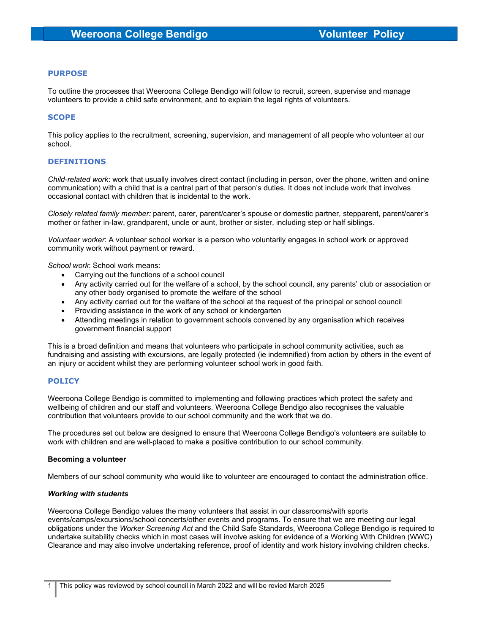# PURPOSE

To outline the processes that Weeroona College Bendigo will follow to recruit, screen, supervise and manage volunteers to provide a child safe environment, and to explain the legal rights of volunteers.

# **SCOPE**

This policy applies to the recruitment, screening, supervision, and management of all people who volunteer at our school.

# DEFINITIONS

Child-related work: work that usually involves direct contact (including in person, over the phone, written and online communication) with a child that is a central part of that person's duties. It does not include work that involves occasional contact with children that is incidental to the work.

Closely related family member: parent, carer, parent/carer's spouse or domestic partner, stepparent, parent/carer's mother or father in-law, grandparent, uncle or aunt, brother or sister, including step or half siblings.

Volunteer worker: A volunteer school worker is a person who voluntarily engages in school work or approved community work without payment or reward.

School work: School work means:

- Carrying out the functions of a school council
- Any activity carried out for the welfare of a school, by the school council, any parents' club or association or any other body organised to promote the welfare of the school
- Any activity carried out for the welfare of the school at the request of the principal or school council
- Providing assistance in the work of any school or kindergarten
- Attending meetings in relation to government schools convened by any organisation which receives government financial support

This is a broad definition and means that volunteers who participate in school community activities, such as fundraising and assisting with excursions, are legally protected (ie indemnified) from action by others in the event of an injury or accident whilst they are performing volunteer school work in good faith.

## **POLICY**

Weeroona College Bendigo is committed to implementing and following practices which protect the safety and wellbeing of children and our staff and volunteers. Weeroona College Bendigo also recognises the valuable contribution that volunteers provide to our school community and the work that we do.

The procedures set out below are designed to ensure that Weeroona College Bendigo's volunteers are suitable to work with children and are well-placed to make a positive contribution to our school community.

## Becoming a volunteer

Members of our school community who would like to volunteer are encouraged to contact the administration office.

## Working with students

Weeroona College Bendigo values the many volunteers that assist in our classrooms/with sports events/camps/excursions/school concerts/other events and programs. To ensure that we are meeting our legal obligations under the Worker Screening Act and the Child Safe Standards, Weeroona College Bendigo is required to undertake suitability checks which in most cases will involve asking for evidence of a Working With Children (WWC) Clearance and may also involve undertaking reference, proof of identity and work history involving children checks.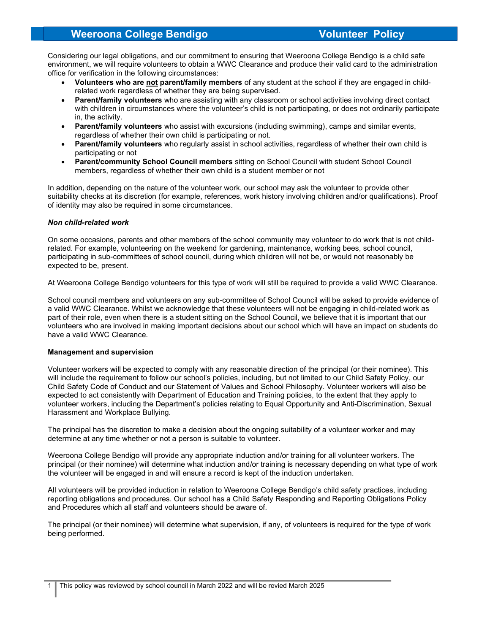# Weeroona College Bendigo Volunteer Policy

Considering our legal obligations, and our commitment to ensuring that Weeroona College Bendigo is a child safe environment, we will require volunteers to obtain a WWC Clearance and produce their valid card to the administration office for verification in the following circumstances:

- Volunteers who are not parent/family members of any student at the school if they are engaged in childrelated work regardless of whether they are being supervised.
- Parent/family volunteers who are assisting with any classroom or school activities involving direct contact with children in circumstances where the volunteer's child is not participating, or does not ordinarily participate in, the activity.
- Parent/family volunteers who assist with excursions (including swimming), camps and similar events, regardless of whether their own child is participating or not.
- Parent/family volunteers who regularly assist in school activities, regardless of whether their own child is participating or not
- Parent/community School Council members sitting on School Council with student School Council members, regardless of whether their own child is a student member or not

In addition, depending on the nature of the volunteer work, our school may ask the volunteer to provide other suitability checks at its discretion (for example, references, work history involving children and/or qualifications). Proof of identity may also be required in some circumstances.

# Non child-related work

On some occasions, parents and other members of the school community may volunteer to do work that is not childrelated. For example, volunteering on the weekend for gardening, maintenance, working bees, school council, participating in sub-committees of school council, during which children will not be, or would not reasonably be expected to be, present.

At Weeroona College Bendigo volunteers for this type of work will still be required to provide a valid WWC Clearance.

School council members and volunteers on any sub-committee of School Council will be asked to provide evidence of a valid WWC Clearance. Whilst we acknowledge that these volunteers will not be engaging in child-related work as part of their role, even when there is a student sitting on the School Council, we believe that it is important that our volunteers who are involved in making important decisions about our school which will have an impact on students do have a valid WWC Clearance.

## Management and supervision

Volunteer workers will be expected to comply with any reasonable direction of the principal (or their nominee). This will include the requirement to follow our school's policies, including, but not limited to our Child Safety Policy, our Child Safety Code of Conduct and our Statement of Values and School Philosophy. Volunteer workers will also be expected to act consistently with Department of Education and Training policies, to the extent that they apply to volunteer workers, including the Department's policies relating to Equal Opportunity and Anti-Discrimination, Sexual Harassment and Workplace Bullying.

The principal has the discretion to make a decision about the ongoing suitability of a volunteer worker and may determine at any time whether or not a person is suitable to volunteer.

Weeroona College Bendigo will provide any appropriate induction and/or training for all volunteer workers. The principal (or their nominee) will determine what induction and/or training is necessary depending on what type of work the volunteer will be engaged in and will ensure a record is kept of the induction undertaken.

All volunteers will be provided induction in relation to Weeroona College Bendigo's child safety practices, including reporting obligations and procedures. Our school has a Child Safety Responding and Reporting Obligations Policy and Procedures which all staff and volunteers should be aware of.

The principal (or their nominee) will determine what supervision, if any, of volunteers is required for the type of work being performed.